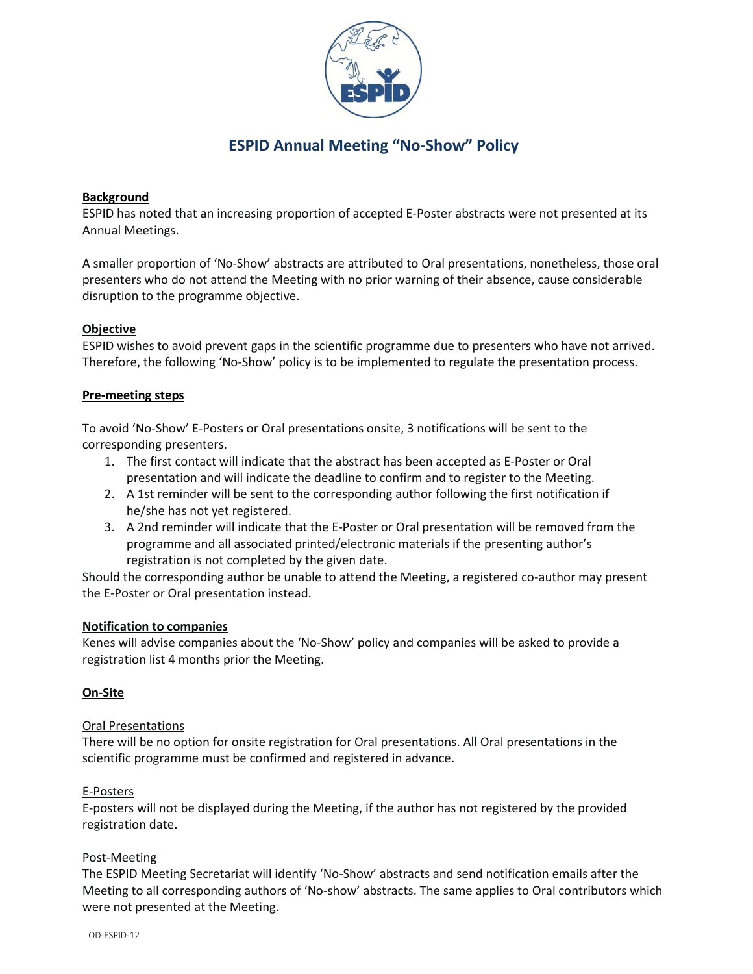

# **ESPID Annual Meeting "No-Show" Policy**

### **Background**

ESPID has noted that an increasing proportion of accepted E-Poster abstracts were not presented at its Annual Meetings.

A smaller proportion of 'No-Show' abstracts are attributed to Oral presentations, nonetheless, those oral presenters who do not attend the Meeting with no prior warning of their absence, cause considerable disruption to the programme objective.

#### **Objective**

ESPID wishes to avoid prevent gaps in the scientific programme due to presenters who have not arrived. Therefore, the following 'No-Show' policy is to be implemented to regulate the presentation process.

#### **Pre-meeting steps**

To avoid 'No-Show' E-Posters or Oral presentations onsite, 3 notifications will be sent to the corresponding presenters.

- 1. The first contact will indicate that the abstract has been accepted as E-Poster or Oral presentation and will indicate the deadline to confirm and to register to the Meeting.
- 2. A 1st reminder will be sent to the corresponding author following the first notification if he/she has not yet registered.
- 3. A 2nd reminder will indicate that the E-Poster or Oral presentation will be removed from the programme and all associated printed/electronic materials if the presenting author's registration is not completed by the given date.

Should the corresponding author be unable to attend the Meeting, a registered co-author may present the E-Poster or Oral presentation instead.

#### **Notification to companies**

Kenes will advise companies about the 'No-Show' policy and companies will be asked to provide a registration list 4 months prior the Meeting.

## **On-Site**

#### Oral Presentations

There will be no option for onsite registration for Oral presentations. All Oral presentations in the scientific programme must be confirmed and registered in advance.

#### E-Posters

E-posters will not be displayed during the Meeting, if the author has not registered by the provided registration date.

#### Post-Meeting

The ESPID Meeting Secretariat will identify 'No-Show' abstracts and send notification emails after the Meeting to all corresponding authors of 'No-show' abstracts. The same applies to Oral contributors which were not presented at the Meeting.